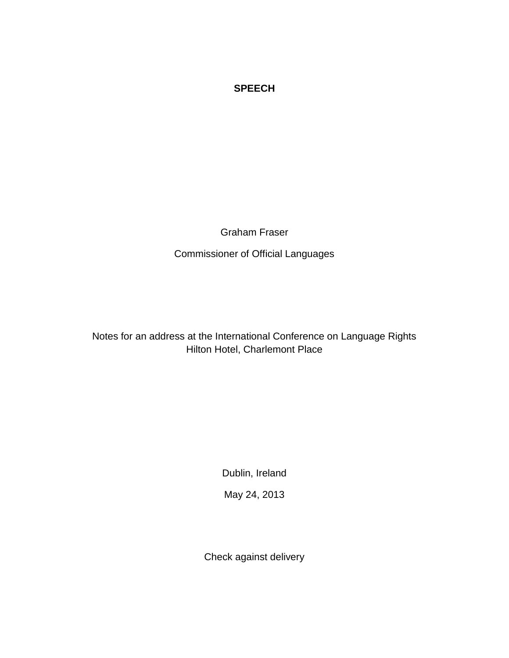## **SPEECH**

Graham Fraser

Commissioner of Official Languages

Notes for an address at the International Conference on Language Rights Hilton Hotel, Charlemont Place

Dublin, Ireland

May 24, 2013

Check against delivery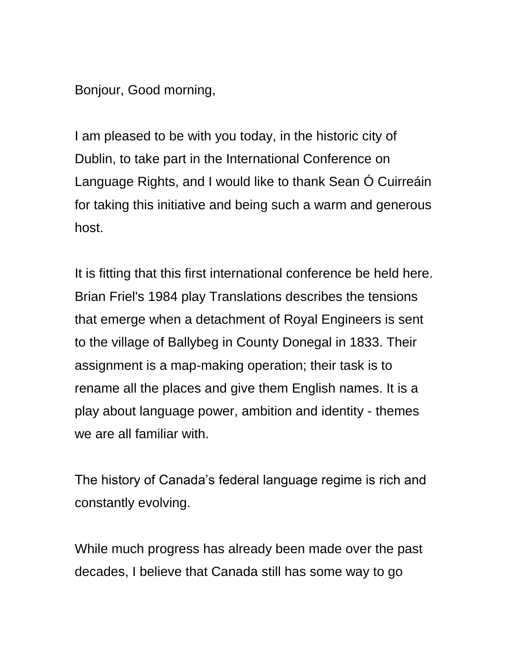Bonjour, Good morning,

I am pleased to be with you today, in the historic city of Dublin, to take part in the International Conference on Language Rights, and I would like to thank Sean Ó Cuirreáin for taking this initiative and being such a warm and generous host.

It is fitting that this first international conference be held here. Brian Friel's 1984 play Translations describes the tensions that emerge when a detachment of Royal Engineers is sent to the village of Ballybeg in County Donegal in 1833. Their assignment is a map-making operation; their task is to rename all the places and give them English names. It is a play about language power, ambition and identity - themes we are all familiar with.

The history of Canada's federal language regime is rich and constantly evolving.

While much progress has already been made over the past decades, I believe that Canada still has some way to go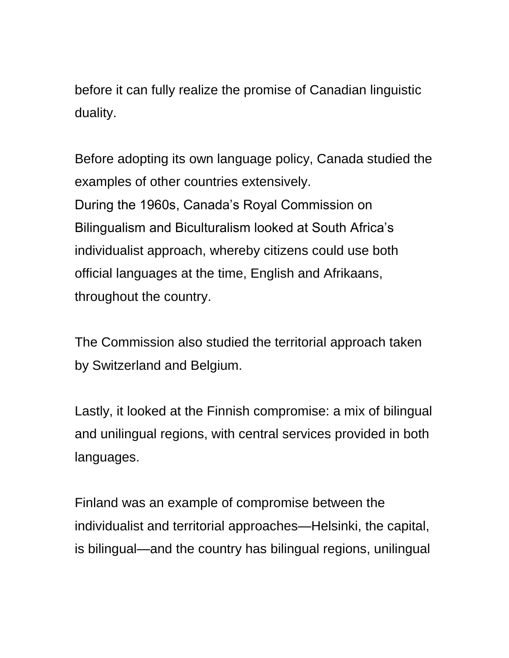before it can fully realize the promise of Canadian linguistic duality.

Before adopting its own language policy, Canada studied the examples of other countries extensively. During the 1960s, Canada's Royal Commission on Bilingualism and Biculturalism looked at South Africa's individualist approach, whereby citizens could use both official languages at the time, English and Afrikaans, throughout the country.

The Commission also studied the territorial approach taken by Switzerland and Belgium.

Lastly, it looked at the Finnish compromise: a mix of bilingual and unilingual regions, with central services provided in both languages.

Finland was an example of compromise between the individualist and territorial approaches—Helsinki, the capital, is bilingual—and the country has bilingual regions, unilingual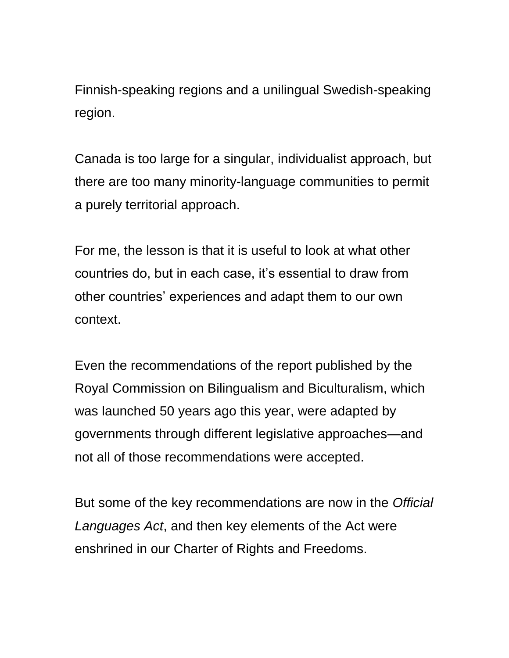Finnish-speaking regions and a unilingual Swedish-speaking region.

Canada is too large for a singular, individualist approach, but there are too many minority-language communities to permit a purely territorial approach.

For me, the lesson is that it is useful to look at what other countries do, but in each case, it's essential to draw from other countries' experiences and adapt them to our own context.

Even the recommendations of the report published by the Royal Commission on Bilingualism and Biculturalism, which was launched 50 years ago this year, were adapted by governments through different legislative approaches—and not all of those recommendations were accepted.

But some of the key recommendations are now in the *Official Languages Act*, and then key elements of the Act were enshrined in our Charter of Rights and Freedoms.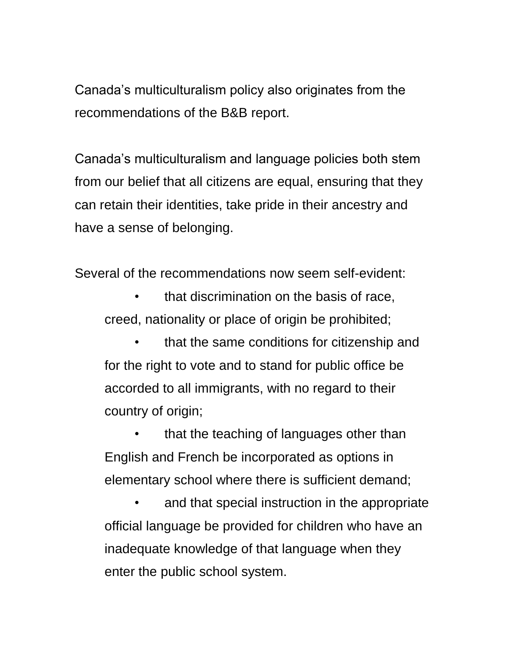Canada's multiculturalism policy also originates from the recommendations of the B&B report.

Canada's multiculturalism and language policies both stem from our belief that all citizens are equal, ensuring that they can retain their identities, take pride in their ancestry and have a sense of belonging.

Several of the recommendations now seem self-evident:

• that discrimination on the basis of race, creed, nationality or place of origin be prohibited;

• that the same conditions for citizenship and for the right to vote and to stand for public office be accorded to all immigrants, with no regard to their country of origin;

• that the teaching of languages other than English and French be incorporated as options in elementary school where there is sufficient demand;

• and that special instruction in the appropriate official language be provided for children who have an inadequate knowledge of that language when they enter the public school system.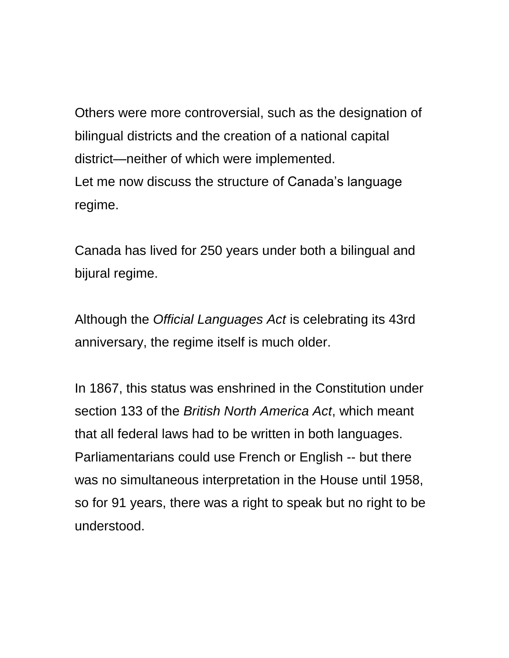Others were more controversial, such as the designation of bilingual districts and the creation of a national capital district—neither of which were implemented. Let me now discuss the structure of Canada's language regime.

Canada has lived for 250 years under both a bilingual and bijural regime.

Although the *Official Languages Act* is celebrating its 43rd anniversary, the regime itself is much older.

In 1867, this status was enshrined in the Constitution under section 133 of the *British North America Act*, which meant that all federal laws had to be written in both languages. Parliamentarians could use French or English -- but there was no simultaneous interpretation in the House until 1958, so for 91 years, there was a right to speak but no right to be understood.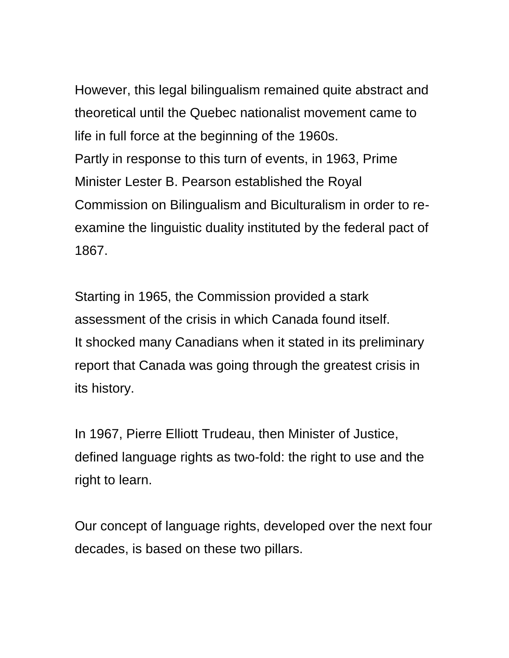However, this legal bilingualism remained quite abstract and theoretical until the Quebec nationalist movement came to life in full force at the beginning of the 1960s. Partly in response to this turn of events, in 1963, Prime Minister Lester B. Pearson established the Royal Commission on Bilingualism and Biculturalism in order to reexamine the linguistic duality instituted by the federal pact of 1867.

Starting in 1965, the Commission provided a stark assessment of the crisis in which Canada found itself. It shocked many Canadians when it stated in its preliminary report that Canada was going through the greatest crisis in its history.

In 1967, Pierre Elliott Trudeau, then Minister of Justice, defined language rights as two-fold: the right to use and the right to learn.

Our concept of language rights, developed over the next four decades, is based on these two pillars.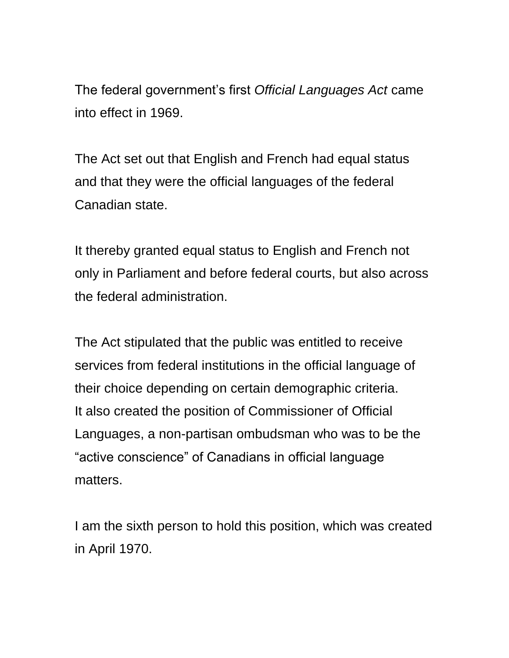The federal government's first *Official Languages Act* came into effect in 1969.

The Act set out that English and French had equal status and that they were the official languages of the federal Canadian state.

It thereby granted equal status to English and French not only in Parliament and before federal courts, but also across the federal administration.

The Act stipulated that the public was entitled to receive services from federal institutions in the official language of their choice depending on certain demographic criteria. It also created the position of Commissioner of Official Languages, a non-partisan ombudsman who was to be the "active conscience" of Canadians in official language matters.

I am the sixth person to hold this position, which was created in April 1970.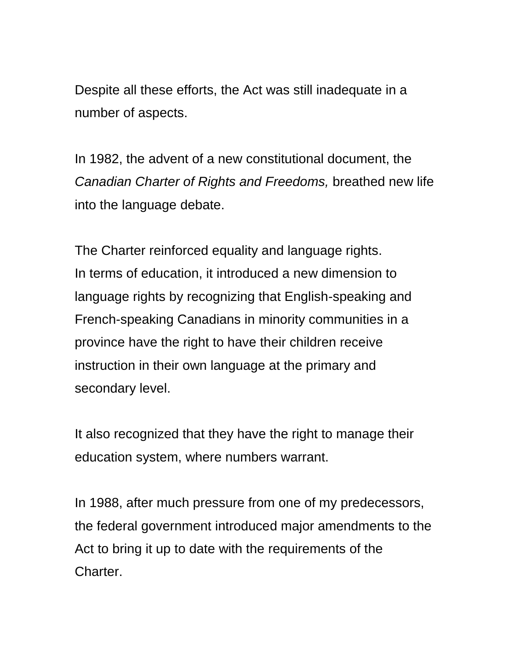Despite all these efforts, the Act was still inadequate in a number of aspects.

In 1982, the advent of a new constitutional document, the *Canadian Charter of Rights and Freedoms,* breathed new life into the language debate.

The Charter reinforced equality and language rights. In terms of education, it introduced a new dimension to language rights by recognizing that English-speaking and French-speaking Canadians in minority communities in a province have the right to have their children receive instruction in their own language at the primary and secondary level.

It also recognized that they have the right to manage their education system, where numbers warrant.

In 1988, after much pressure from one of my predecessors, the federal government introduced major amendments to the Act to bring it up to date with the requirements of the Charter.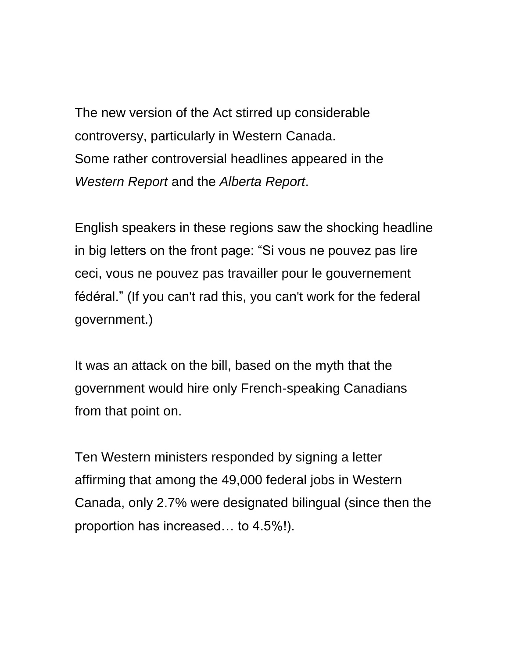The new version of the Act stirred up considerable controversy, particularly in Western Canada. Some rather controversial headlines appeared in the *Western Report* and the *Alberta Report*.

English speakers in these regions saw the shocking headline in big letters on the front page: "Si vous ne pouvez pas lire ceci, vous ne pouvez pas travailler pour le gouvernement fédéral." (If you can't rad this, you can't work for the federal government.)

It was an attack on the bill, based on the myth that the government would hire only French-speaking Canadians from that point on.

Ten Western ministers responded by signing a letter affirming that among the 49,000 federal jobs in Western Canada, only 2.7% were designated bilingual (since then the proportion has increased… to 4.5%!).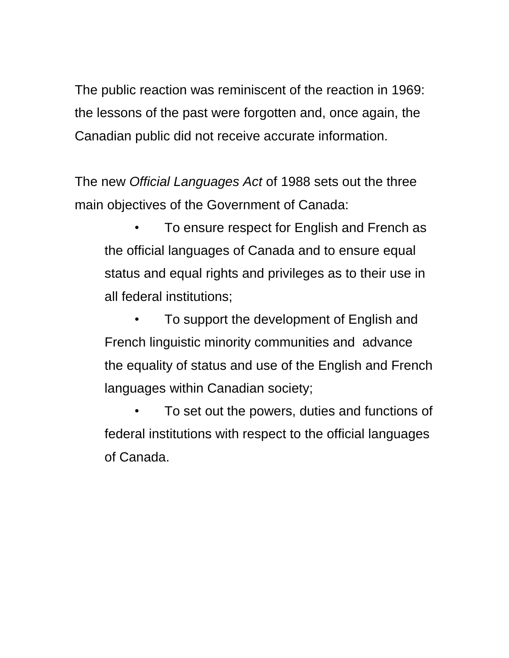The public reaction was reminiscent of the reaction in 1969: the lessons of the past were forgotten and, once again, the Canadian public did not receive accurate information.

The new *Official Languages Act* of 1988 sets out the three main objectives of the Government of Canada:

• To ensure respect for English and French as the official languages of Canada and to ensure equal status and equal rights and privileges as to their use in all federal institutions;

• To support the development of English and French linguistic minority communities and advance the equality of status and use of the English and French languages within Canadian society;

• To set out the powers, duties and functions of federal institutions with respect to the official languages of Canada.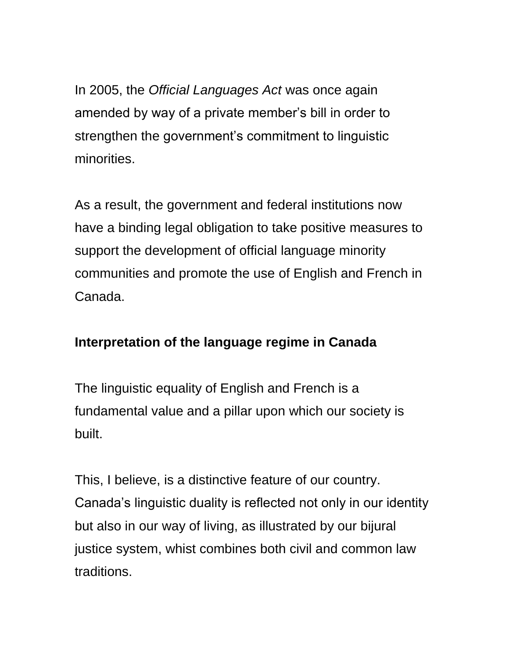In 2005, the *Official Languages Act* was once again amended by way of a private member's bill in order to strengthen the government's commitment to linguistic minorities.

As a result, the government and federal institutions now have a binding legal obligation to take positive measures to support the development of official language minority communities and promote the use of English and French in Canada.

## **Interpretation of the language regime in Canada**

The linguistic equality of English and French is a fundamental value and a pillar upon which our society is built.

This, I believe, is a distinctive feature of our country. Canada's linguistic duality is reflected not only in our identity but also in our way of living, as illustrated by our bijural justice system, whist combines both civil and common law traditions.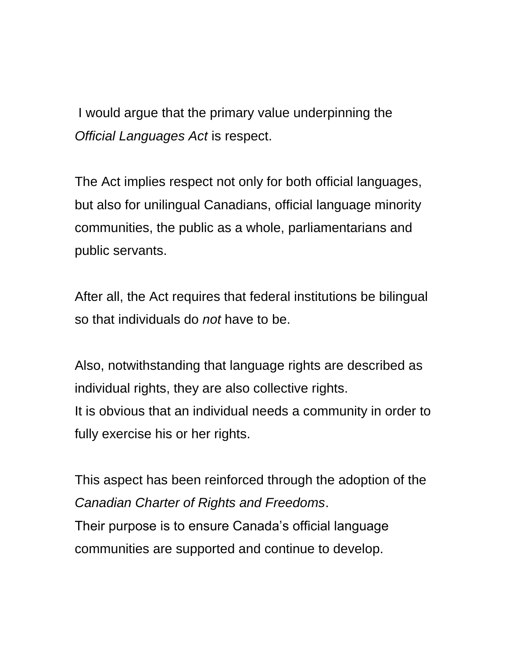I would argue that the primary value underpinning the *Official Languages Act* is respect.

The Act implies respect not only for both official languages, but also for unilingual Canadians, official language minority communities, the public as a whole, parliamentarians and public servants.

After all, the Act requires that federal institutions be bilingual so that individuals do *not* have to be.

Also, notwithstanding that language rights are described as individual rights, they are also collective rights. It is obvious that an individual needs a community in order to fully exercise his or her rights.

This aspect has been reinforced through the adoption of the *Canadian Charter of Rights and Freedoms*. Their purpose is to ensure Canada's official language communities are supported and continue to develop.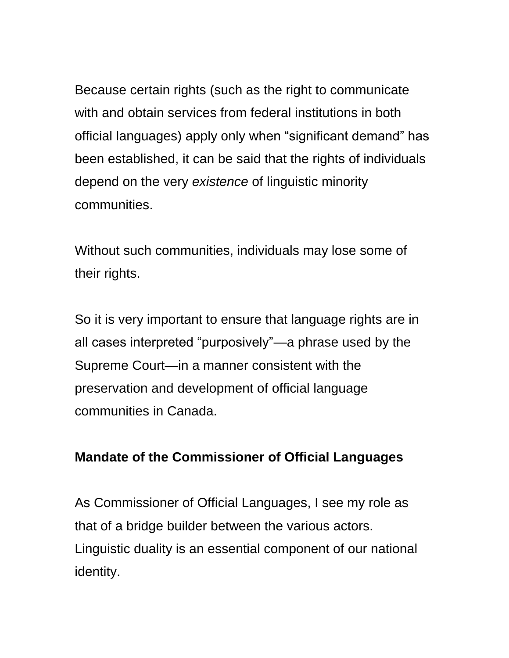Because certain rights (such as the right to communicate with and obtain services from federal institutions in both official languages) apply only when "significant demand" has been established, it can be said that the rights of individuals depend on the very *existence* of linguistic minority communities.

Without such communities, individuals may lose some of their rights.

So it is very important to ensure that language rights are in all cases interpreted "purposively"—a phrase used by the Supreme Court—in a manner consistent with the preservation and development of official language communities in Canada.

## **Mandate of the Commissioner of Official Languages**

As Commissioner of Official Languages, I see my role as that of a bridge builder between the various actors. Linguistic duality is an essential component of our national identity.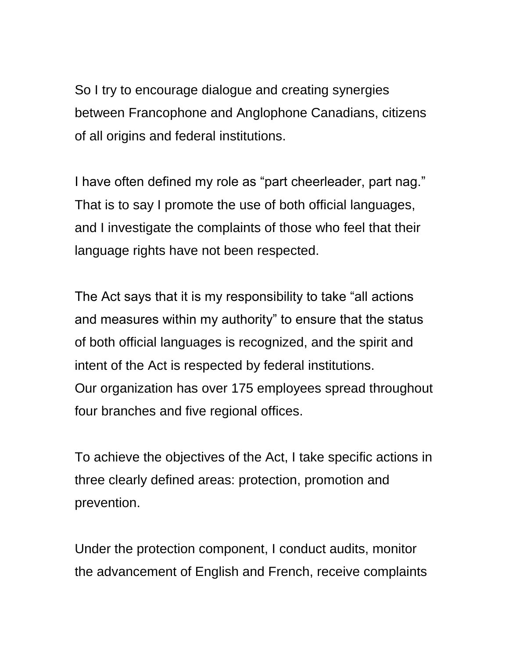So I try to encourage dialogue and creating synergies between Francophone and Anglophone Canadians, citizens of all origins and federal institutions.

I have often defined my role as "part cheerleader, part nag." That is to say I promote the use of both official languages, and I investigate the complaints of those who feel that their language rights have not been respected.

The Act says that it is my responsibility to take "all actions and measures within my authority" to ensure that the status of both official languages is recognized, and the spirit and intent of the Act is respected by federal institutions. Our organization has over 175 employees spread throughout four branches and five regional offices.

To achieve the objectives of the Act, I take specific actions in three clearly defined areas: protection, promotion and prevention.

Under the protection component, I conduct audits, monitor the advancement of English and French, receive complaints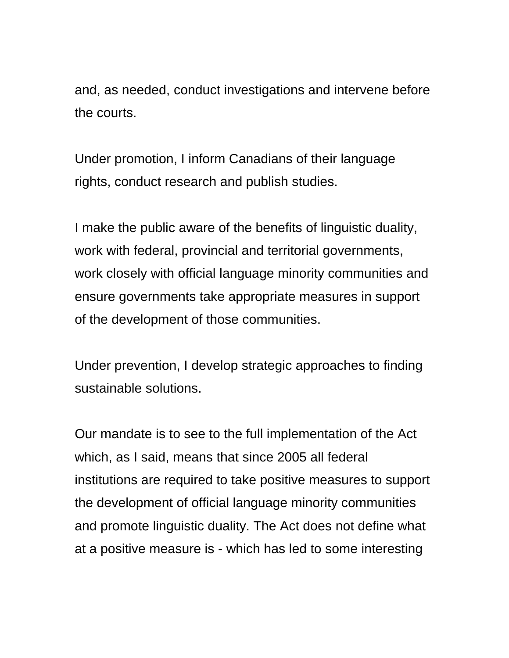and, as needed, conduct investigations and intervene before the courts.

Under promotion, I inform Canadians of their language rights, conduct research and publish studies.

I make the public aware of the benefits of linguistic duality, work with federal, provincial and territorial governments, work closely with official language minority communities and ensure governments take appropriate measures in support of the development of those communities.

Under prevention, I develop strategic approaches to finding sustainable solutions.

Our mandate is to see to the full implementation of the Act which, as I said, means that since 2005 all federal institutions are required to take positive measures to support the development of official language minority communities and promote linguistic duality. The Act does not define what at a positive measure is - which has led to some interesting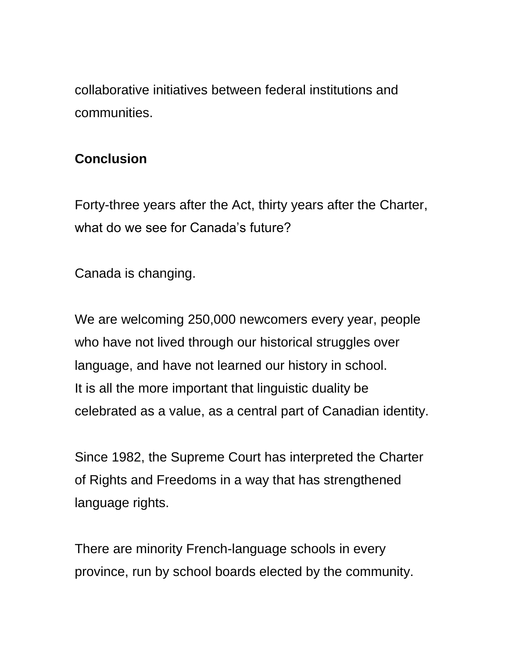collaborative initiatives between federal institutions and communities.

## **Conclusion**

Forty-three years after the Act, thirty years after the Charter, what do we see for Canada's future?

Canada is changing.

We are welcoming 250,000 newcomers every year, people who have not lived through our historical struggles over language, and have not learned our history in school. It is all the more important that linguistic duality be celebrated as a value, as a central part of Canadian identity.

Since 1982, the Supreme Court has interpreted the Charter of Rights and Freedoms in a way that has strengthened language rights.

There are minority French-language schools in every province, run by school boards elected by the community.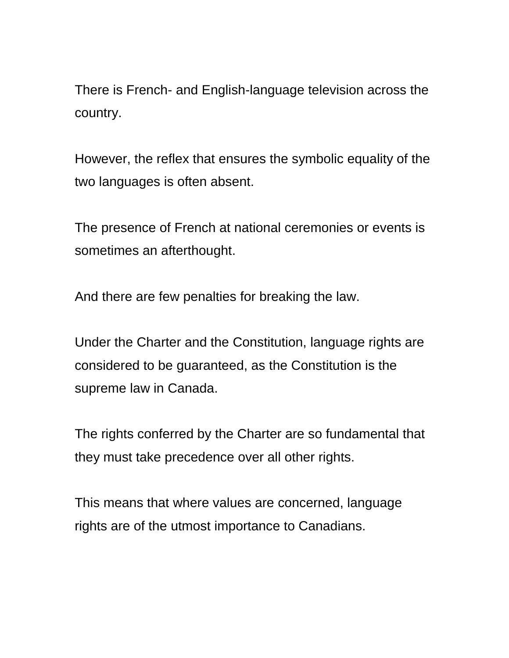There is French- and English-language television across the country.

However, the reflex that ensures the symbolic equality of the two languages is often absent.

The presence of French at national ceremonies or events is sometimes an afterthought.

And there are few penalties for breaking the law.

Under the Charter and the Constitution, language rights are considered to be guaranteed, as the Constitution is the supreme law in Canada.

The rights conferred by the Charter are so fundamental that they must take precedence over all other rights.

This means that where values are concerned, language rights are of the utmost importance to Canadians.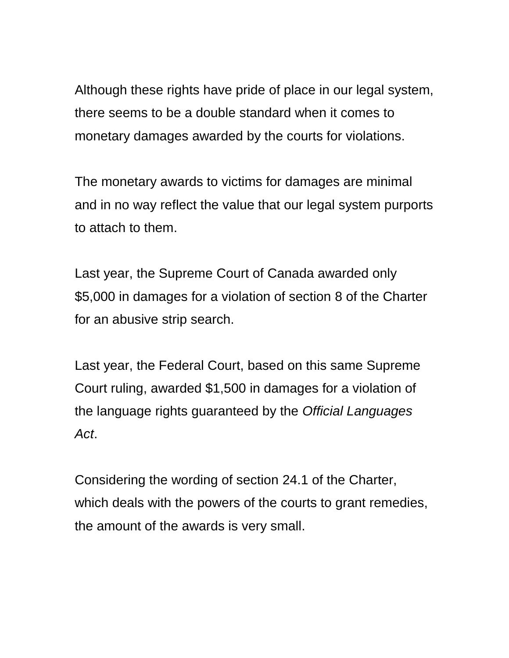Although these rights have pride of place in our legal system, there seems to be a double standard when it comes to monetary damages awarded by the courts for violations.

The monetary awards to victims for damages are minimal and in no way reflect the value that our legal system purports to attach to them.

Last year, the Supreme Court of Canada awarded only \$5,000 in damages for a violation of section 8 of the Charter for an abusive strip search.

Last year, the Federal Court, based on this same Supreme Court ruling, awarded \$1,500 in damages for a violation of the language rights guaranteed by the *Official Languages Act*.

Considering the wording of section 24.1 of the Charter, which deals with the powers of the courts to grant remedies, the amount of the awards is very small.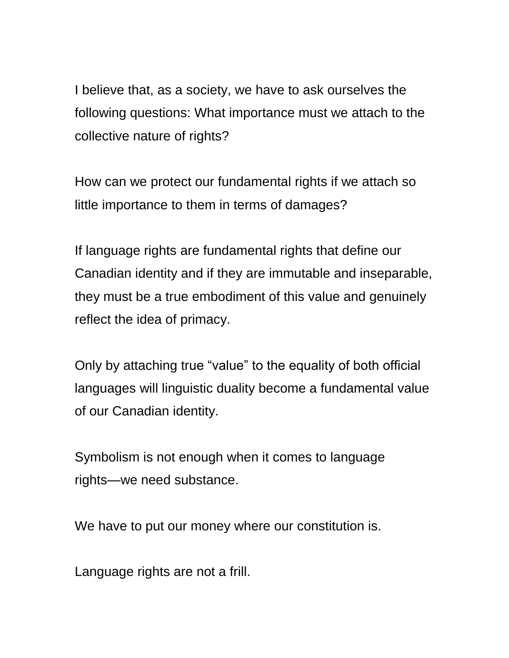I believe that, as a society, we have to ask ourselves the following questions: What importance must we attach to the collective nature of rights?

How can we protect our fundamental rights if we attach so little importance to them in terms of damages?

If language rights are fundamental rights that define our Canadian identity and if they are immutable and inseparable, they must be a true embodiment of this value and genuinely reflect the idea of primacy.

Only by attaching true "value" to the equality of both official languages will linguistic duality become a fundamental value of our Canadian identity.

Symbolism is not enough when it comes to language rights—we need substance.

We have to put our money where our constitution is.

Language rights are not a frill.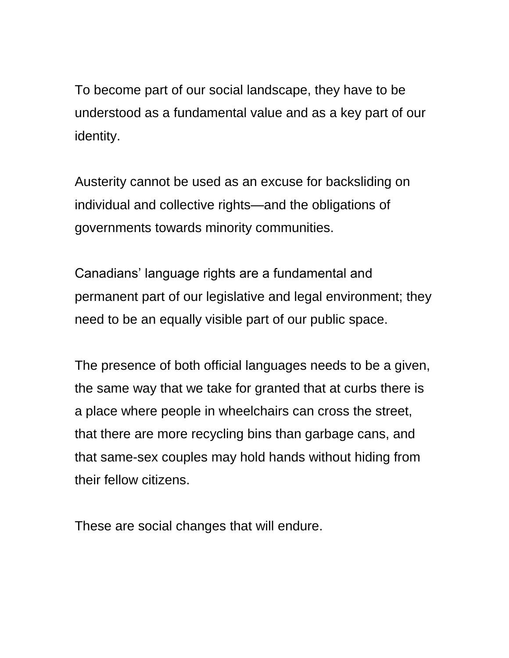To become part of our social landscape, they have to be understood as a fundamental value and as a key part of our identity.

Austerity cannot be used as an excuse for backsliding on individual and collective rights—and the obligations of governments towards minority communities.

Canadians' language rights are a fundamental and permanent part of our legislative and legal environment; they need to be an equally visible part of our public space.

The presence of both official languages needs to be a given, the same way that we take for granted that at curbs there is a place where people in wheelchairs can cross the street, that there are more recycling bins than garbage cans, and that same-sex couples may hold hands without hiding from their fellow citizens.

These are social changes that will endure.